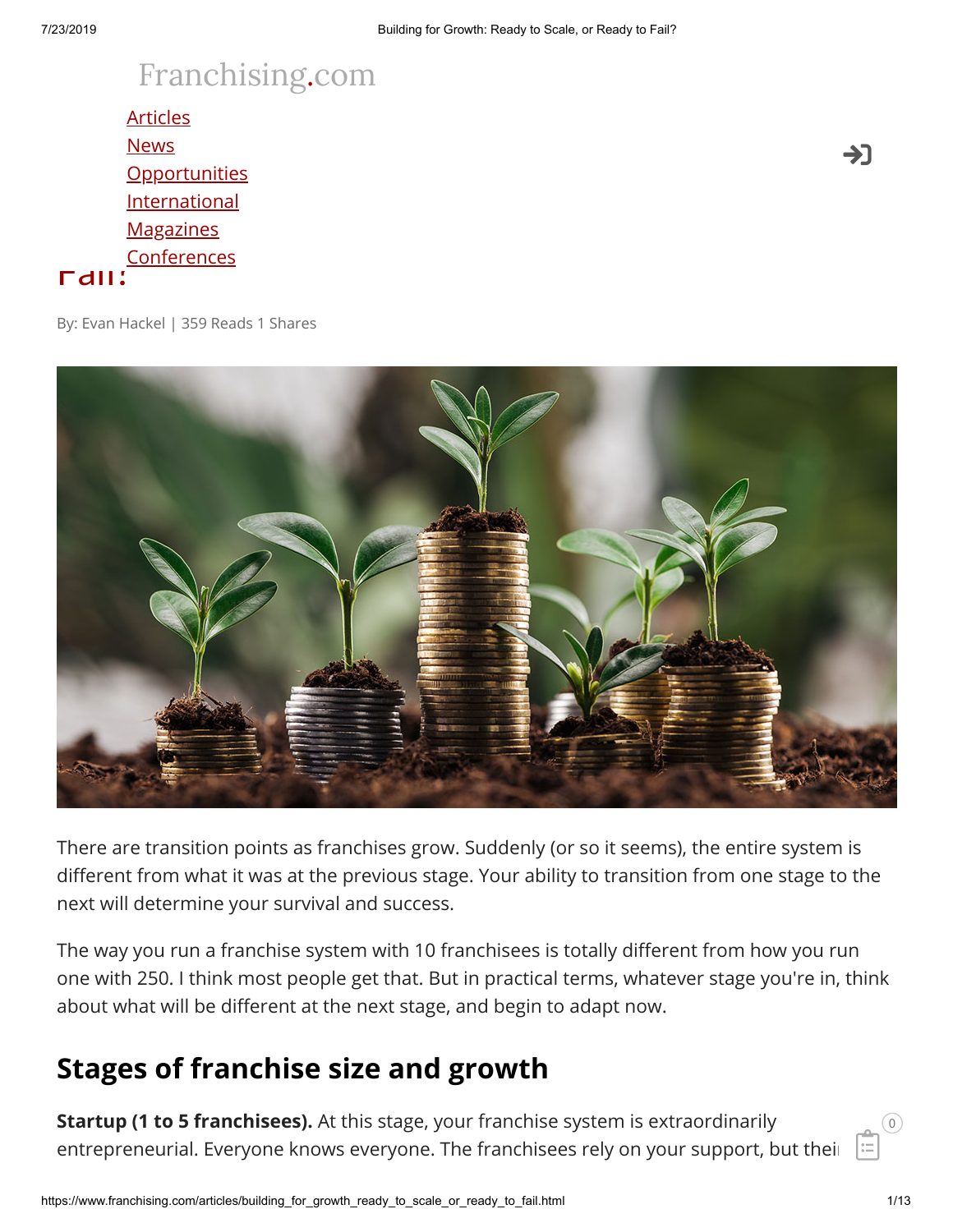## [Franchising.com](https://www.franchising.com/)

<u>[Opportunities](https://www.franchising.com/opportunities/)</u> Building for Growth: Ready to Scale, or Ready to Scale, or Ready to Scale, or Ready to Scale, or Ready to Scale, or Ready to Scale, and the Scale, or Ready to Scale, and the Scale, or Ready to Scale, and the Scale, and the Fail? **[Articles](https://www.franchising.com/articles/) [News](https://www.franchising.com/news/) [International](https://www.franchising.com/international/) [Magazines](https://www.franchising.com/magazine/) [Conferences](https://www.franchising.com/conferences/)** 

By: Evan Hackel | 359 Reads 1 Shares



There are transition points as franchises grow. Suddenly (or so it seems), the entire system is different from what it was at the previous stage. Your ability to transition from one stage to the next will determine your survival and success.

The way you run a franchise system with 10 franchisees is totally different from how you run one with 250. I think most people get that. But in practical terms, whatever stage you're in, think about what will be different at the next stage, and begin to adapt now.

#### **Stages of franchise size and growth**

**Startup (1 to 5 franchisees).** At this stage, your franchise system is extraordinarily entrepreneurial. Everyone knows everyone. The franchisees rely on your support, but their

 $\left( 0\right)$ 

ĖÏ

->]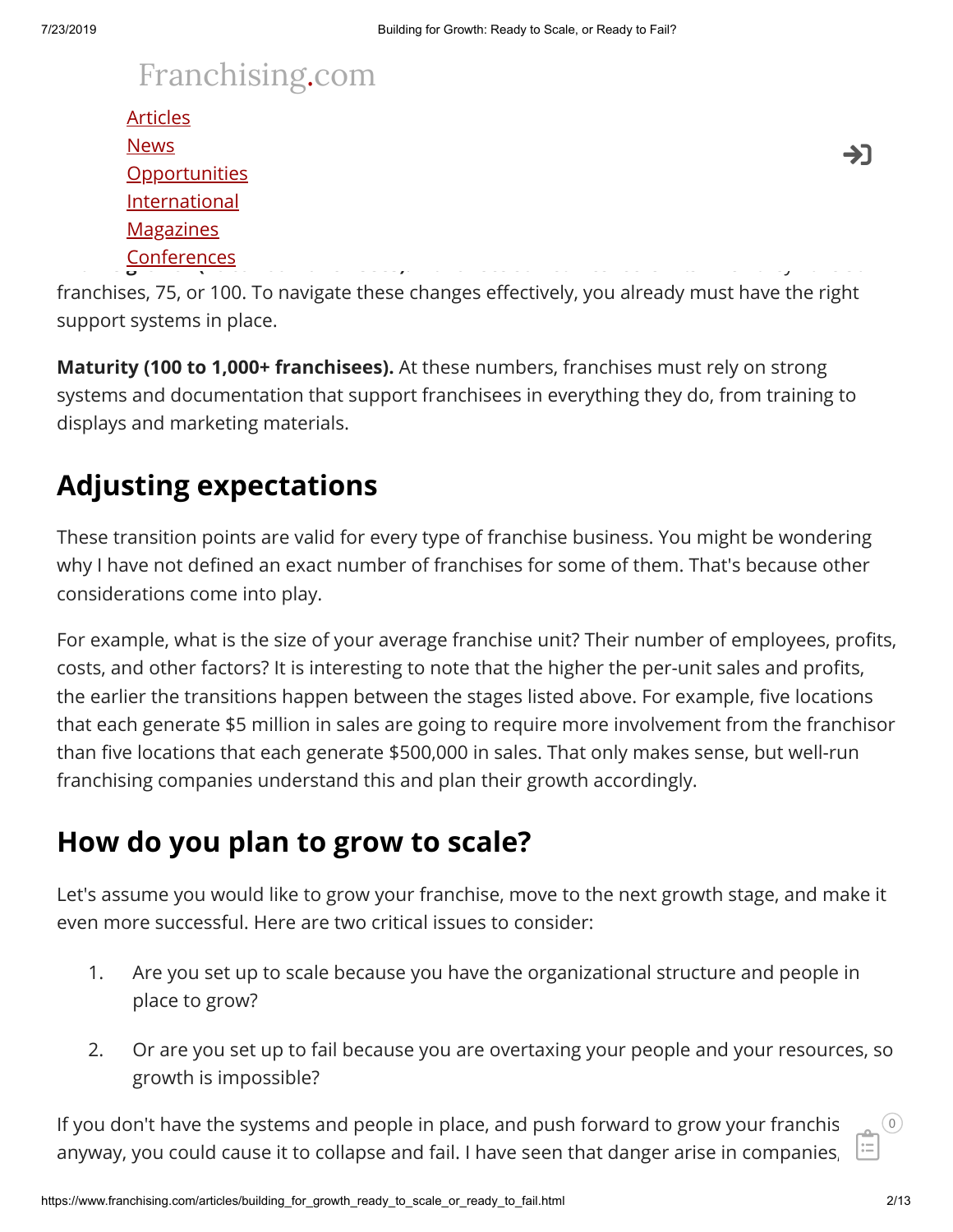# [Franchising.com](https://www.franchising.com/)

|                               | <b>Articles</b>      |   |
|-------------------------------|----------------------|---|
|                               | <b>News</b>          | 7 |
|                               | <b>Opportunities</b> |   |
|                               | International        |   |
|                               | <b>Magazines</b>     |   |
| $\overline{\phantom{a}}$<br>້ | Conferences          |   |

franchises, 75, or 100. To navigate these changes effectively, you already must have the right support systems in place.

**Maturity (100 to 1,000+ franchisees).** At these numbers, franchises must rely on strong systems and documentation that support franchisees in everything they do, from training to displays and marketing materials.

### **Adjusting expectations**

These transition points are valid for every type of franchise business. You might be wondering why I have not defined an exact number of franchises for some of them. That's because other considerations come into play.

For example, what is the size of your average franchise unit? Their number of employees, profits, costs, and other factors? It is interesting to note that the higher the per-unit sales and profits, the earlier the transitions happen between the stages listed above. For example, five locations that each generate \$5 million in sales are going to require more involvement from the franchisor than five locations that each generate \$500,000 in sales. That only makes sense, but well-run franchising companies understand this and plan their growth accordingly.

#### **How do you plan to grow to scale?**

Let's assume you would like to grow your franchise, move to the next growth stage, and make it even more successful. Here are two critical issues to consider:

- 1. Are you set up to scale because you have the organizational structure and people in place to grow?
- 2. Or are you set up to fail because you are overtaxing your people and your resources, so growth is impossible?

If you don't have the systems and people in place, and push forward to grow your franchis anyway, you could cause it to collapse and fail. I have seen that danger arise in companies, ĖÏ

 $\left( 0\right)$